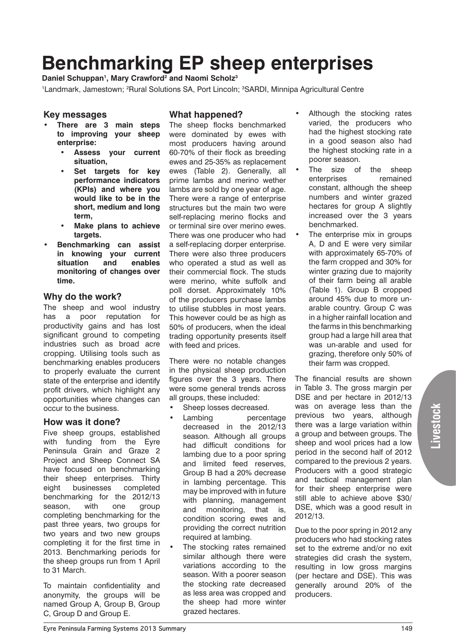# **Benchmarking EP sheep enterprises**

Daniel Schuppan<sup>1</sup>, Mary Crawford<sup>2</sup> and Naomi Scholz<sup>3</sup>

<sup>1</sup>Landmark, Jamestown; <sup>2</sup>Rural Solutions SA, Port Lincoln; <sup>3</sup>SARDI, Minnipa Agricultural Centre

### **Key messages**

- **• There are 3 main steps to improving your sheep enterprise:**
	- Assess your current **situation,**
	- **Set targets for key performance indicators (KPIs) and where you would like to be in the short, medium and long term,**
	- **Make plans to achieve targets.**
- **Benchmarking can assist in knowing your current situation and enables monitoring of changes over time.**

#### **Why do the work?**

The sheep and wool industry has a poor reputation for productivity gains and has lost significant ground to competing industries such as broad acre cropping. Utilising tools such as benchmarking enables producers to properly evaluate the current state of the enterprise and identify profit drivers, which highlight any opportunities where changes can occur to the business.

# **How was it done?**

Five sheep groups, established with funding from the Eyre Peninsula Grain and Graze 2 Project and Sheep Connect SA have focused on benchmarking their sheep enterprises. Thirty eight businesses completed benchmarking for the 2012/13 season, with one group completing benchmarking for the past three years, two groups for two years and two new groups completing it for the first time in 2013. Benchmarking periods for the sheep groups run from 1 April to 31 March.

To maintain confidentiality and anonymity, the groups will be named Group A, Group B, Group C, Group D and Group E.

## **What happened?**

The sheep flocks benchmarked were dominated by ewes with most producers having around 60-70% of their flock as breeding ewes and 25-35% as replacement ewes (Table 2). Generally, all prime lambs and merino wether lambs are sold by one year of age. There were a range of enterprise structures but the main two were self-replacing merino flocks and or terminal sire over merino ewes. There was one producer who had a self-replacing dorper enterprise. There were also three producers who operated a stud as well as their commercial flock. The studs were merino, white suffolk and poll dorset. Approximately 10% of the producers purchase lambs to utilise stubbles in most years. This however could be as high as 50% of producers, when the ideal trading opportunity presents itself with feed and prices.

There were no notable changes in the physical sheep production figures over the 3 years. There were some general trends across all groups, these included:

- Sheep losses decreased.
- Lambing percentage decreased in the 2012/13 season. Although all groups had difficult conditions for lambing due to a poor spring and limited feed reserves, Group B had a 20% decrease in lambing percentage. This may be improved with in future with planning, management and monitoring, that is, condition scoring ewes and providing the correct nutrition required at lambing.
- The stocking rates remained similar although there were variations according to the season. With a poorer season the stocking rate decreased as less area was cropped and the sheep had more winter grazed hectares.
- Although the stocking rates varied, the producers who had the highest stocking rate in a good season also had the highest stocking rate in a poorer season.
- The size of the sheep enterprises remained constant, although the sheep numbers and winter grazed hectares for group A slightly increased over the 3 years benchmarked.
- The enterprise mix in groups A, D and E were very similar with approximately 65-70% of the farm cropped and 30% for winter grazing due to majority of their farm being all arable (Table 1). Group B cropped around 45% due to more unarable country. Group C was in a higher rainfall location and the farms in this benchmarking group had a large hill area that was un-arable and used for grazing, therefore only 50% of their farm was cropped.

The financial results are shown in Table 3. The gross margin per DSE and per hectare in 2012/13 was on average less than the previous two years, although there was a large variation within a group and between groups. The sheep and wool prices had a low period in the second half of 2012 compared to the previous 2 years. Producers with a good strategic and tactical management plan for their sheep enterprise were still able to achieve above \$30/ DSE, which was a good result in 2012/13.

Due to the poor spring in 2012 any producers who had stocking rates set to the extreme and/or no exit strategies did crash the system, resulting in low gross margins (per hectare and DSE). This was generally around 20% of the producers.

**Livestock**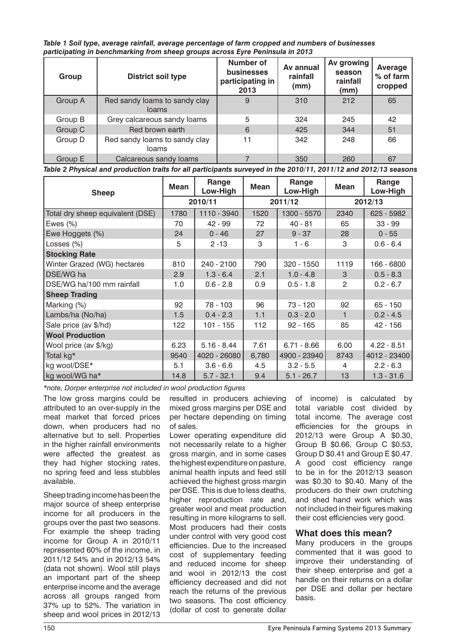*Table 1 Soil type, average rainfall, average percentage of farm cropped and numbers of businesses participating in benchmarking from sheep groups across Eyre Peninsula in 2013*

| Group   | <b>District soil type</b>              | Number of<br>businesses<br>participating in<br>2013 | Av annual<br>rainfall<br>(mm) | Av growing<br>season<br>rainfall<br>(mm) | Average<br>% of farm<br>cropped |
|---------|----------------------------------------|-----------------------------------------------------|-------------------------------|------------------------------------------|---------------------------------|
| Group A | Red sandy loams to sandy clay<br>loams | 9                                                   | 310                           | 212                                      | 65                              |
| Group B | Grey calcareous sandy loams            | 5                                                   | 324                           | 245                                      | 42                              |
| Group C | Red brown earth                        | 6                                                   | 425                           | 344                                      | 51                              |
| Group D | Red sandy loams to sandy clay<br>loams | 11                                                  | 342                           | 248                                      | 66                              |
| Group E | Calcareous sandy loams                 |                                                     | 350                           | 260                                      | 67                              |

*Table 2 Physical and production traits for all participants surveyed in the 2010/11, 2011/12 and 2012/13 seasons* 

| <b>Sheep</b>                     | Mean    | Range<br>Low-High | <b>Mean</b> | Range<br>Low-High | <b>Mean</b>             | Range<br>Low-High |
|----------------------------------|---------|-------------------|-------------|-------------------|-------------------------|-------------------|
|                                  | 2010/11 |                   | 2011/12     |                   | 2012/13                 |                   |
| Total dry sheep equivalent (DSE) | 1780    | 1110 - 3940       | 1520        | 1300 - 5570       | 2340                    | 625 - 5982        |
| Ewes $(\%)$                      | 70      | 42 - 99           | 72          | $40 - 81$         | 65                      | $33 - 99$         |
| Ewe Hoggets (%)                  | 24      | $0 - 46$          | 27          | $9 - 37$          | 28                      | $0 - 55$          |
| Losses (%)                       | 5       | $2 - 13$          | 3           | $1 - 6$           | 3                       | $0.6 - 6.4$       |
| <b>Stocking Rate</b>             |         |                   |             |                   |                         |                   |
| Winter Grazed (WG) hectares      | 810     | 240 - 2100        | 790         | 320 - 1550        | 1119                    | 166 - 6800        |
| DSE/WG ha                        | 2.9     | $1.3 - 6.4$       | 2.1         | $1.0 - 4.8$       | 3                       | $0.5 - 8.3$       |
| DSE/WG ha/100 mm rainfall        | 1.0     | $0.6 - 2.8$       | 0.9         | $0.5 - 1.8$       | 2                       | $0.2 - 6.7$       |
| <b>Sheep Trading</b>             |         |                   |             |                   |                         |                   |
| Marking (%)                      | 92      | 78 - 103          | 96          | 73 - 120          | 92                      | $65 - 150$        |
| Lambs/ha (No/ha)                 | 1.5     | $0.4 - 2.3$       | 1.1         | $0.3 - 2.0$       | $\overline{\mathbf{1}}$ | $0.2 - 4.5$       |
| Sale price (av \$/hd)            | 122     | $101 - 155$       | 112         | $92 - 165$        | 85                      | 42 - 156          |
| <b>Wool Production</b>           |         |                   |             |                   |                         |                   |
| Wool price (av \$/kg)            | 6.23    | $5.16 - 8.44$     | 7.61        | $6.71 - 8.66$     | 6.00                    | $4.22 - 8.51$     |
| Total kg*                        | 9540    | 4020 - 26080      | 6,780       | 4900 - 23940      | 8743                    | 4012 - 23400      |
| kg wool/DSE*                     | 5.1     | $3.6 - 6.6$       | 4.5         | $3.2 - 5.5$       | 4                       | $2.2 - 6.3$       |
| kg wool/WG ha*                   | 14.8    | $5.7 - 32.1$      | 9.4         | $5.1 - 26.7$      | 13                      | $1.3 - 31.6$      |

*\*note, Dorper enterprise not included in wool production figures*

The low gross margins could be attributed to an over-supply in the meat market that forced prices down, when producers had no alternative but to sell. Properties in the higher rainfall environments were affected the greatest as they had higher stocking rates, no spring feed and less stubbles available.

Sheep trading income has been the major source of sheep enterprise income for all producers in the groups over the past two seasons. For example the sheep trading income for Group A in 2010/11 represented 60% of the income, in 2011/12 54% and in 2012/13 54% (data not shown). Wool still plays an important part of the sheep enterprise income and the average across all groups ranged from 37% up to 52%. The variation in sheep and wool prices in 2012/13

resulted in producers achieving mixed gross margins per DSE and per hectare depending on timing of sales.

Lower operating expenditure did not necessarily relate to a higher gross margin, and in some cases the highest expenditure on pasture, animal health inputs and feed still achieved the highest gross margin per DSE. This is due to less deaths, higher reproduction rate and, greater wool and meat production resulting in more kilograms to sell. Most producers had their costs under control with very good cost efficiencies. Due to the increased cost of supplementary feeding and reduced income for sheep and wool in 2012/13 the cost efficiency decreased and did not reach the returns of the previous two seasons. The cost efficiency (dollar of cost to generate dollar

of income) is calculated by total variable cost divided by total income. The average cost efficiencies for the groups in 2012/13 were Group A \$0.30, Group B \$0.66, Group C \$0.53, Group D \$0.41 and Group E \$0.47. A good cost efficiency range to be in for the 2012/13 season was \$0.30 to \$0.40. Many of the producers do their own crutching and shed hand work which was not included in their figures making their cost efficiencies very good.

# **What does this mean?**

Many producers in the groups commented that it was good to improve their understanding of their sheep enterprise and get a handle on their returns on a dollar per DSE and dollar per hectare basis.